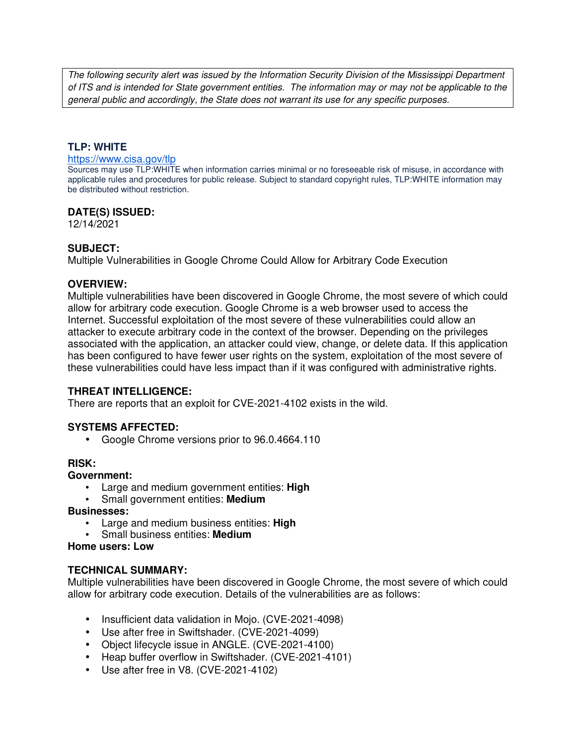The following security alert was issued by the Information Security Division of the Mississippi Department of ITS and is intended for State government entities. The information may or may not be applicable to the general public and accordingly, the State does not warrant its use for any specific purposes.

# **TLP: WHITE**

#### https://www.cisa.gov/tlp

Sources may use TLP:WHITE when information carries minimal or no foreseeable risk of misuse, in accordance with applicable rules and procedures for public release. Subject to standard copyright rules, TLP:WHITE information may be distributed without restriction.

### **DATE(S) ISSUED:**

12/14/2021

### **SUBJECT:**

Multiple Vulnerabilities in Google Chrome Could Allow for Arbitrary Code Execution

#### **OVERVIEW:**

Multiple vulnerabilities have been discovered in Google Chrome, the most severe of which could allow for arbitrary code execution. Google Chrome is a web browser used to access the Internet. Successful exploitation of the most severe of these vulnerabilities could allow an attacker to execute arbitrary code in the context of the browser. Depending on the privileges associated with the application, an attacker could view, change, or delete data. If this application has been configured to have fewer user rights on the system, exploitation of the most severe of these vulnerabilities could have less impact than if it was configured with administrative rights.

# **THREAT INTELLIGENCE:**

There are reports that an exploit for CVE-2021-4102 exists in the wild.

# **SYSTEMS AFFECTED:**

• Google Chrome versions prior to 96.0.4664.110

#### **RISK:**

### **Government:**

- Large and medium government entities: **High**
- Small government entities: **Medium**

#### **Businesses:**

- Large and medium business entities: **High**
- Small business entities: **Medium**

#### **Home users: Low**

# **TECHNICAL SUMMARY:**

Multiple vulnerabilities have been discovered in Google Chrome, the most severe of which could allow for arbitrary code execution. Details of the vulnerabilities are as follows:

- Insufficient data validation in Mojo. (CVE-2021-4098)
- Use after free in Swiftshader. (CVE-2021-4099)
- Object lifecycle issue in ANGLE. (CVE-2021-4100)
- Heap buffer overflow in Swiftshader. (CVE-2021-4101)
- Use after free in V8. (CVE-2021-4102)